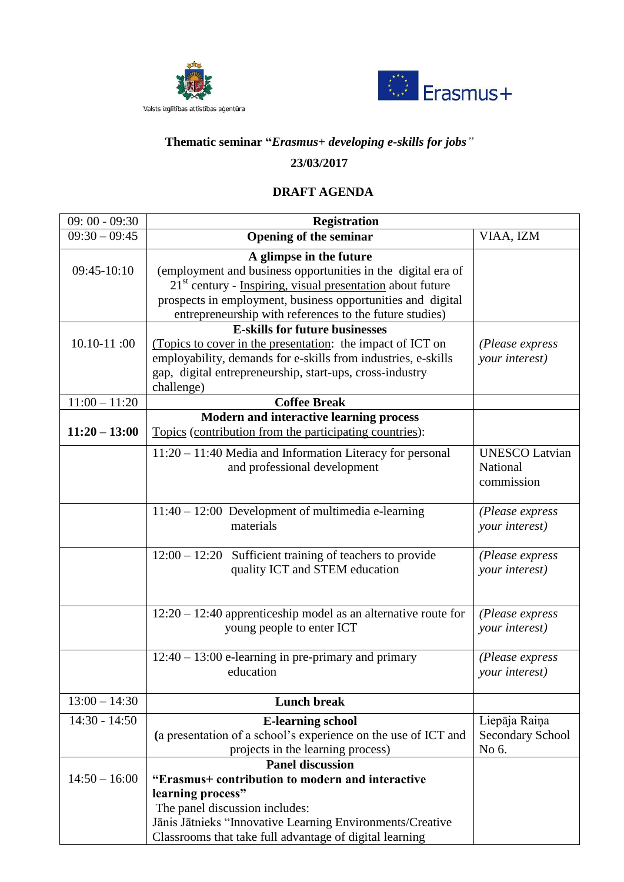



## **Thematic seminar "***Erasmus+ developing e-skills for jobs"*

## **23/03/2017**

## **DRAFT AGENDA**

| $09:00 - 09:30$ | <b>Registration</b>                                                                                                                                                                                                                                                               |                                                   |
|-----------------|-----------------------------------------------------------------------------------------------------------------------------------------------------------------------------------------------------------------------------------------------------------------------------------|---------------------------------------------------|
| $09:30 - 09:45$ | <b>Opening of the seminar</b>                                                                                                                                                                                                                                                     | VIAA, IZM                                         |
| $09:45-10:10$   | A glimpse in the future<br>(employment and business opportunities in the digital era of<br>$21st$ century - Inspiring, visual presentation about future<br>prospects in employment, business opportunities and digital<br>entrepreneurship with references to the future studies) |                                                   |
| $10.10 - 11:00$ | <b>E-skills for future businesses</b><br>(Topics to cover in the presentation: the impact of ICT on<br>employability, demands for e-skills from industries, e-skills<br>gap, digital entrepreneurship, start-ups, cross-industry<br>challenge)                                    | (Please express<br>your interest)                 |
| $11:00 - 11:20$ | <b>Coffee Break</b>                                                                                                                                                                                                                                                               |                                                   |
| $11:20 - 13:00$ | <b>Modern and interactive learning process</b><br>Topics (contribution from the participating countries):                                                                                                                                                                         |                                                   |
|                 | $11:20 - 11:40$ Media and Information Literacy for personal<br>and professional development                                                                                                                                                                                       | <b>UNESCO Latvian</b><br>National<br>commission   |
|                 | 11:40 - 12:00 Development of multimedia e-learning<br>materials                                                                                                                                                                                                                   | (Please express<br>your interest)                 |
|                 | $12:00 - 12:20$ Sufficient training of teachers to provide<br>quality ICT and STEM education                                                                                                                                                                                      | (Please express<br>your interest)                 |
|                 | $12:20 - 12:40$ apprenticeship model as an alternative route for<br>young people to enter ICT                                                                                                                                                                                     | (Please express<br>your interest)                 |
|                 | $12:40 - 13:00$ e-learning in pre-primary and primary<br>education                                                                                                                                                                                                                | (Please express<br>your interest)                 |
| $13:00 - 14:30$ | <b>Lunch break</b>                                                                                                                                                                                                                                                                |                                                   |
| $14:30 - 14:50$ | <b>E-learning school</b><br>(a presentation of a school's experience on the use of ICT and<br>projects in the learning process)                                                                                                                                                   | Liepāja Raiņa<br><b>Secondary School</b><br>No 6. |
| $14:50 - 16:00$ | <b>Panel discussion</b><br>"Erasmus+ contribution to modern and interactive<br>learning process"<br>The panel discussion includes:<br>Jānis Jātnieks "Innovative Learning Environments/Creative<br>Classrooms that take full advantage of digital learning                        |                                                   |